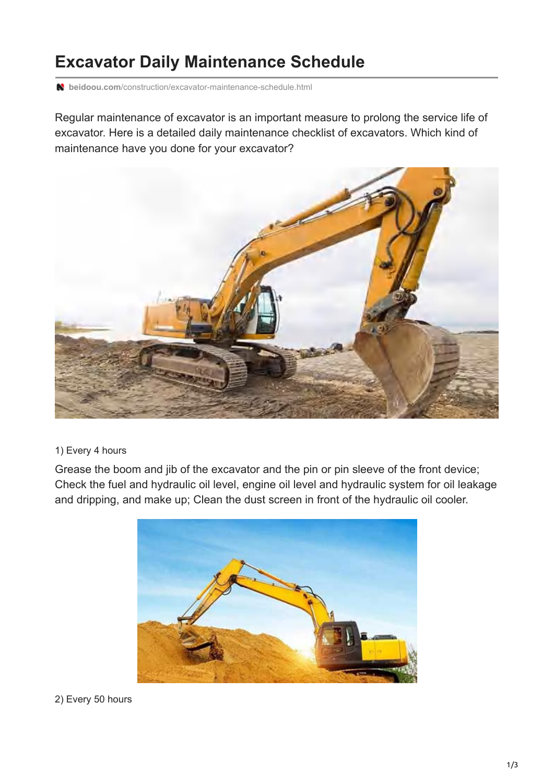# **Excavator Daily Maintenance Schedule**

**beidoou.com**[/construction/excavator-maintenance-schedule.html](https://www.beidoou.com/construction/excavator-maintenance-schedule.html)

Regular maintenance of excavator is an important measure to prolong the service life of excavator. Here is a detailed daily maintenance checklist of excavators. Which kind of maintenance have you done for your excavator?



#### 1) Every 4 hours

Grease the boom and jib of the excavator and the pin or pin sleeve of the front device; Check the fuel and hydraulic oil level, engine oil level and hydraulic system for oil leakage and dripping, and make up; Clean the dust screen in front of the hydraulic oil cooler.



2) Every 50 hours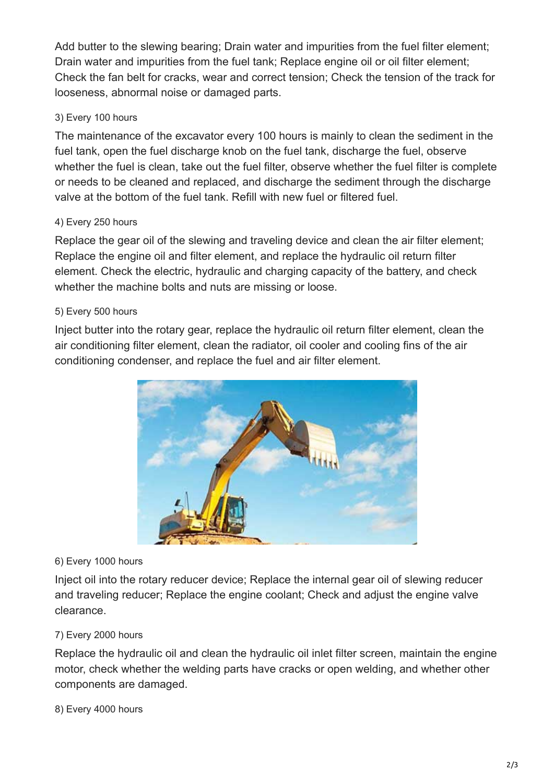Add butter to the slewing bearing; Drain water and impurities from the fuel filter element; Drain water and impurities from the fuel tank; Replace engine oil or oil filter element; Check the fan belt for cracks, wear and correct tension; Check the tension of the track for looseness, abnormal noise or damaged parts.

### 3) Every 100 hours

The maintenance of the excavator every 100 hours is mainly to clean the sediment in the fuel tank, open the fuel discharge knob on the fuel tank, discharge the fuel, observe whether the fuel is clean, take out the fuel filter, observe whether the fuel filter is complete or needs to be cleaned and replaced, and discharge the sediment through the discharge valve at the bottom of the fuel tank. Refill with new fuel or filtered fuel.

#### 4) Every 250 hours

Replace the gear oil of the slewing and traveling device and clean the air filter element; Replace the engine oil and filter element, and replace the hydraulic oil return filter element. Check the electric, hydraulic and charging capacity of the battery, and check whether the machine bolts and nuts are missing or loose.

#### 5) Every 500 hours

Inject butter into the rotary gear, replace the hydraulic oil return filter element, clean the air conditioning filter element, clean the radiator, oil cooler and cooling fins of the air conditioning condenser, and replace the fuel and air filter element.



#### 6) Every 1000 hours

Inject oil into the rotary reducer device; Replace the internal gear oil of slewing reducer and traveling reducer; Replace the engine coolant; Check and adjust the engine valve clearance.

#### 7) Every 2000 hours

Replace the hydraulic oil and clean the hydraulic oil inlet filter screen, maintain the engine motor, check whether the welding parts have cracks or open welding, and whether other components are damaged.

#### 8) Every 4000 hours